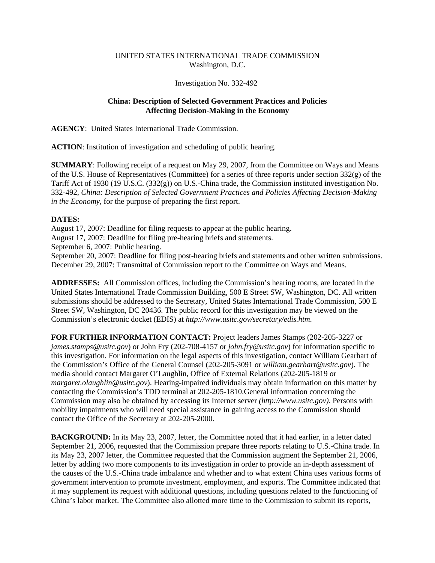## UNITED STATES INTERNATIONAL TRADE COMMISSION Washington, D.C.

## Investigation No. 332-492

## **China: Description of Selected Government Practices and Policies Affecting Decision-Making in the Economy**

**AGENCY**: United States International Trade Commission.

**ACTION**: Institution of investigation and scheduling of public hearing.

**SUMMARY**: Following receipt of a request on May 29, 2007, from the Committee on Ways and Means of the U.S. House of Representatives (Committee) for a series of three reports under section  $332(g)$  of the Tariff Act of 1930 (19 U.S.C. (332(g)) on U.S.-China trade, the Commission instituted investigation No. 332-492, *China: Description of Selected Government Practices and Policies Affecting Decision-Making in the Economy*, for the purpose of preparing the first report.

## **DATES:**

August 17, 2007: Deadline for filing requests to appear at the public hearing.

August 17, 2007: Deadline for filing pre-hearing briefs and statements.

September 6, 2007: Public hearing.

September 20, 2007: Deadline for filing post-hearing briefs and statements and other written submissions. December 29, 2007: Transmittal of Commission report to the Committee on Ways and Means.

**ADDRESSES:** All Commission offices, including the Commission's hearing rooms, are located in the United States International Trade Commission Building, 500 E Street SW, Washington, DC. All written submissions should be addressed to the Secretary, United States International Trade Commission, 500 E Street SW, Washington, DC 20436. The public record for this investigation may be viewed on the Commission's electronic docket (EDIS) at *http://www.usitc.gov/secretary/edis.htm*.

**FOR FURTHER INFORMATION CONTACT:** Project leaders James Stamps (202-205-3227 or *james.stamps@usitc.gov*) or John Fry (202-708-4157 or *john.fry@usitc.gov*) for information specific to this investigation. For information on the legal aspects of this investigation, contact William Gearhart of the Commission's Office of the General Counsel (202-205-3091 or *william.gearhart@usitc.gov*). The media should contact Margaret O'Laughlin, Office of External Relations (202-205-1819 or *margaret.olaughlin@usitc.gov*). Hearing-impaired individuals may obtain information on this matter by contacting the Commission's TDD terminal at 202-205-1810.General information concerning the Commission may also be obtained by accessing its Internet server *(http://www.usitc.gov)*. Persons with mobility impairments who will need special assistance in gaining access to the Commission should contact the Office of the Secretary at 202-205-2000.

**BACKGROUND:** In its May 23, 2007, letter, the Committee noted that it had earlier, in a letter dated September 21, 2006, requested that the Commission prepare three reports relating to U.S.-China trade. In its May 23, 2007 letter, the Committee requested that the Commission augment the September 21, 2006, letter by adding two more components to its investigation in order to provide an in-depth assessment of the causes of the U.S.-China trade imbalance and whether and to what extent China uses various forms of government intervention to promote investment, employment, and exports. The Committee indicated that it may supplement its request with additional questions, including questions related to the functioning of China's labor market. The Committee also allotted more time to the Commission to submit its reports,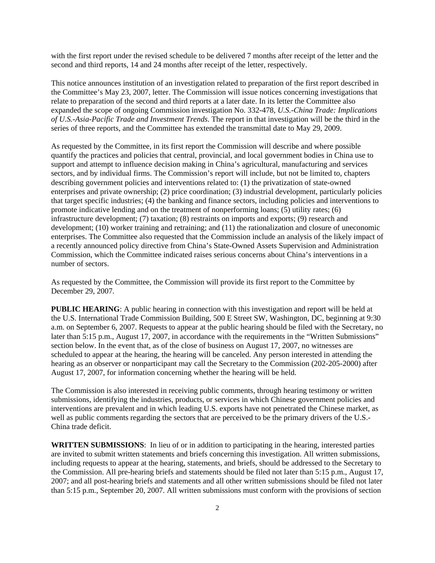with the first report under the revised schedule to be delivered 7 months after receipt of the letter and the second and third reports, 14 and 24 months after receipt of the letter, respectively.

This notice announces institution of an investigation related to preparation of the first report described in the Committee's May 23, 2007, letter. The Commission will issue notices concerning investigations that relate to preparation of the second and third reports at a later date. In its letter the Committee also expanded the scope of ongoing Commission investigation No. 332-478, *U.S.-China Trade: Implications of U.S.-Asia-Pacific Trade and Investment Trends*. The report in that investigation will be the third in the series of three reports, and the Committee has extended the transmittal date to May 29, 2009.

As requested by the Committee, in its first report the Commission will describe and where possible quantify the practices and policies that central, provincial, and local government bodies in China use to support and attempt to influence decision making in China's agricultural, manufacturing and services sectors, and by individual firms. The Commission's report will include, but not be limited to, chapters describing government policies and interventions related to: (1) the privatization of state-owned enterprises and private ownership; (2) price coordination; (3) industrial development, particularly policies that target specific industries; (4) the banking and finance sectors, including policies and interventions to promote indicative lending and on the treatment of nonperforming loans; (5) utility rates; (6) infrastructure development; (7) taxation; (8) restraints on imports and exports; (9) research and development; (10) worker training and retraining; and (11) the rationalization and closure of uneconomic enterprises. The Committee also requested that the Commission include an analysis of the likely impact of a recently announced policy directive from China's State-Owned Assets Supervision and Administration Commission, which the Committee indicated raises serious concerns about China's interventions in a number of sectors.

As requested by the Committee, the Commission will provide its first report to the Committee by December 29, 2007.

**PUBLIC HEARING:** A public hearing in connection with this investigation and report will be held at the U.S. International Trade Commission Building, 500 E Street SW, Washington, DC, beginning at 9:30 a.m. on September 6, 2007. Requests to appear at the public hearing should be filed with the Secretary, no later than 5:15 p.m., August 17, 2007, in accordance with the requirements in the "Written Submissions" section below. In the event that, as of the close of business on August 17, 2007, no witnesses are scheduled to appear at the hearing, the hearing will be canceled. Any person interested in attending the hearing as an observer or nonparticipant may call the Secretary to the Commission (202-205-2000) after August 17, 2007, for information concerning whether the hearing will be held.

The Commission is also interested in receiving public comments, through hearing testimony or written submissions, identifying the industries, products, or services in which Chinese government policies and interventions are prevalent and in which leading U.S. exports have not penetrated the Chinese market, as well as public comments regarding the sectors that are perceived to be the primary drivers of the U.S.- China trade deficit.

**WRITTEN SUBMISSIONS**: In lieu of or in addition to participating in the hearing, interested parties are invited to submit written statements and briefs concerning this investigation. All written submissions, including requests to appear at the hearing, statements, and briefs, should be addressed to the Secretary to the Commission. All pre-hearing briefs and statements should be filed not later than 5:15 p.m., August 17, 2007; and all post-hearing briefs and statements and all other written submissions should be filed not later than 5:15 p.m., September 20, 2007. All written submissions must conform with the provisions of section